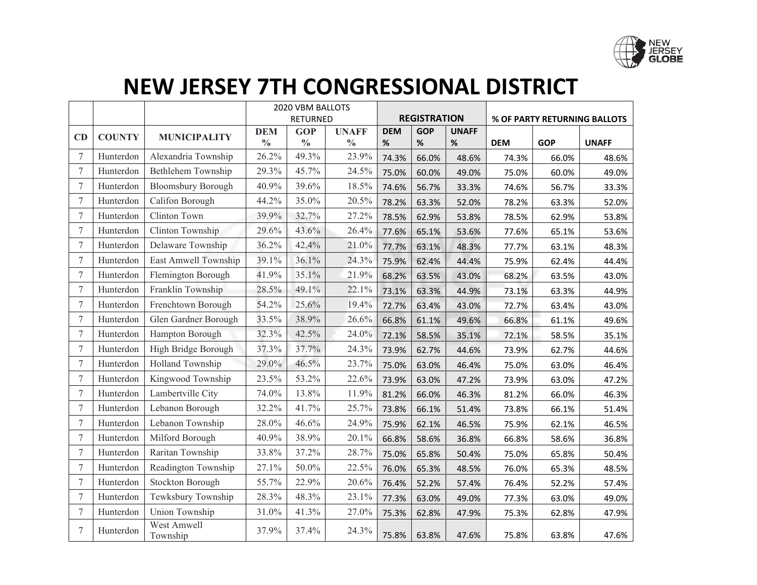

|        |               |                           | 2020 VBM BALLOTS |               |               |                     |            |              |                              |            |              |
|--------|---------------|---------------------------|------------------|---------------|---------------|---------------------|------------|--------------|------------------------------|------------|--------------|
|        |               |                           | RETURNED         |               |               | <b>REGISTRATION</b> |            |              | % OF PARTY RETURNING BALLOTS |            |              |
| CD     | <b>COUNTY</b> | <b>MUNICIPALITY</b>       | <b>DEM</b>       | <b>GOP</b>    | <b>UNAFF</b>  | <b>DEM</b>          | <b>GOP</b> | <b>UNAFF</b> |                              |            |              |
|        |               |                           | $\frac{0}{0}$    | $\frac{0}{0}$ | $\frac{0}{0}$ | $\%$                | $\%$       | %            | <b>DEM</b>                   | <b>GOP</b> | <b>UNAFF</b> |
| 7      | Hunterdon     | Alexandria Township       | 26.2%            | 49.3%         | 23.9%         | 74.3%               | 66.0%      | 48.6%        | 74.3%                        | 66.0%      | 48.6%        |
| $\tau$ | Hunterdon     | Bethlehem Township        | 29.3%            | 45.7%         | 24.5%         | 75.0%               | 60.0%      | 49.0%        | 75.0%                        | 60.0%      | 49.0%        |
| $\tau$ | Hunterdon     | <b>Bloomsbury Borough</b> | 40.9%            | 39.6%         | 18.5%         | 74.6%               | 56.7%      | 33.3%        | 74.6%                        | 56.7%      | 33.3%        |
| $\tau$ | Hunterdon     | Califon Borough           | 44.2%            | 35.0%         | 20.5%         | 78.2%               | 63.3%      | 52.0%        | 78.2%                        | 63.3%      | 52.0%        |
| 7      | Hunterdon     | Clinton Town              | 39.9%            | 32.7%         | 27.2%         | 78.5%               | 62.9%      | 53.8%        | 78.5%                        | 62.9%      | 53.8%        |
| 7      | Hunterdon     | Clinton Township          | 29.6%            | 43.6%         | 26.4%         | 77.6%               | 65.1%      | 53.6%        | 77.6%                        | 65.1%      | 53.6%        |
| 7      | Hunterdon     | Delaware Township         | 36.2%            | 42.4%         | 21.0%         | 77.7%               | 63.1%      | 48.3%        | 77.7%                        | 63.1%      | 48.3%        |
| $\tau$ | Hunterdon     | East Amwell Township      | 39.1%            | 36.1%         | 24.3%         | 75.9%               | 62.4%      | 44.4%        | 75.9%                        | 62.4%      | 44.4%        |
| $\tau$ | Hunterdon     | Flemington Borough        | 41.9%            | 35.1%         | 21.9%         | 68.2%               | 63.5%      | 43.0%        | 68.2%                        | 63.5%      | 43.0%        |
| 7      | Hunterdon     | Franklin Township         | 28.5%            | 49.1%         | 22.1%         | 73.1%               | 63.3%      | 44.9%        | 73.1%                        | 63.3%      | 44.9%        |
| 7      | Hunterdon     | Frenchtown Borough        | 54.2%            | 25.6%         | 19.4%         | 72.7%               | 63.4%      | 43.0%        | 72.7%                        | 63.4%      | 43.0%        |
| 7      | Hunterdon     | Glen Gardner Borough      | 33.5%            | 38.9%         | 26.6%         | 66.8%               | 61.1%      | 49.6%        | 66.8%                        | 61.1%      | 49.6%        |
| $\tau$ | Hunterdon     | Hampton Borough           | 32.3%            | 42.5%         | 24.0%         | 72.1%               | 58.5%      | 35.1%        | 72.1%                        | 58.5%      | 35.1%        |
| $\tau$ | Hunterdon     | High Bridge Borough       | 37.3%            | 37.7%         | 24.3%         | 73.9%               | 62.7%      | 44.6%        | 73.9%                        | 62.7%      | 44.6%        |
| $\tau$ | Hunterdon     | Holland Township          | 29.0%            | 46.5%         | 23.7%         | 75.0%               | 63.0%      | 46.4%        | 75.0%                        | 63.0%      | 46.4%        |
| $\tau$ | Hunterdon     | Kingwood Township         | 23.5%            | 53.2%         | 22.6%         | 73.9%               | 63.0%      | 47.2%        | 73.9%                        | 63.0%      | 47.2%        |
| $\tau$ | Hunterdon     | Lambertville City         | 74.0%            | 13.8%         | 11.9%         | 81.2%               | 66.0%      | 46.3%        | 81.2%                        | 66.0%      | 46.3%        |
| $\tau$ | Hunterdon     | Lebanon Borough           | 32.2%            | 41.7%         | 25.7%         | 73.8%               | 66.1%      | 51.4%        | 73.8%                        | 66.1%      | 51.4%        |
| $\tau$ | Hunterdon     | Lebanon Township          | 28.0%            | 46.6%         | 24.9%         | 75.9%               | 62.1%      | 46.5%        | 75.9%                        | 62.1%      | 46.5%        |
| 7      | Hunterdon     | Milford Borough           | 40.9%            | 38.9%         | 20.1%         | 66.8%               | 58.6%      | 36.8%        | 66.8%                        | 58.6%      | 36.8%        |
| 7      | Hunterdon     | Raritan Township          | 33.8%            | 37.2%         | 28.7%         | 75.0%               | 65.8%      | 50.4%        | 75.0%                        | 65.8%      | 50.4%        |
| $\tau$ | Hunterdon     | Readington Township       | 27.1%            | 50.0%         | 22.5%         | 76.0%               | 65.3%      | 48.5%        | 76.0%                        | 65.3%      | 48.5%        |
| $\tau$ | Hunterdon     | <b>Stockton Borough</b>   | 55.7%            | 22.9%         | 20.6%         | 76.4%               | 52.2%      | 57.4%        | 76.4%                        | 52.2%      | 57.4%        |
| $\tau$ | Hunterdon     | Tewksbury Township        | 28.3%            | 48.3%         | 23.1%         | 77.3%               | 63.0%      | 49.0%        | 77.3%                        | 63.0%      | 49.0%        |
| $\tau$ | Hunterdon     | Union Township            | 31.0%            | 41.3%         | 27.0%         | 75.3%               | 62.8%      | 47.9%        | 75.3%                        | 62.8%      | 47.9%        |
| $\tau$ | Hunterdon     | West Amwell<br>Township   | 37.9%            | 37.4%         | 24.3%         | 75.8%               | 63.8%      | 47.6%        | 75.8%                        | 63.8%      | 47.6%        |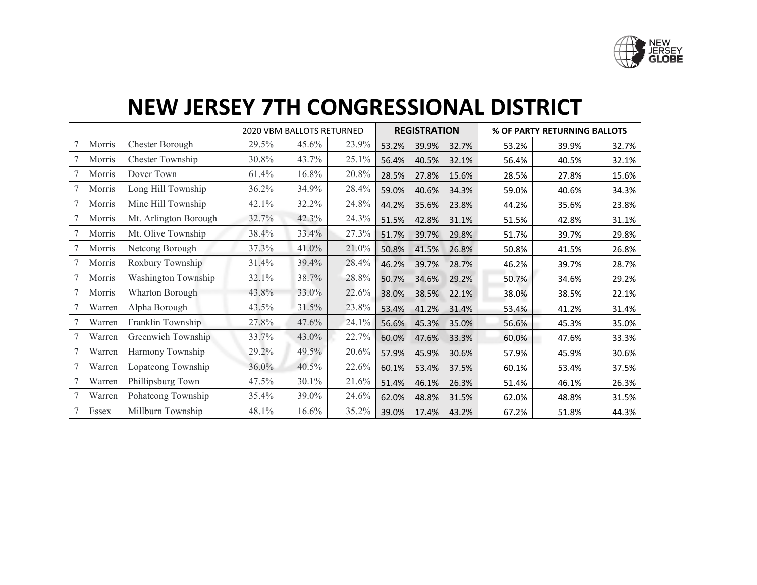

|        |        |                       | <b>2020 VBM BALLOTS RETURNED</b> |       | <b>REGISTRATION</b> |       | % OF PARTY RETURNING BALLOTS |       |       |       |       |
|--------|--------|-----------------------|----------------------------------|-------|---------------------|-------|------------------------------|-------|-------|-------|-------|
| 7      | Morris | Chester Borough       | 29.5%                            | 45.6% | 23.9%               | 53.2% | 39.9%                        | 32.7% | 53.2% | 39.9% | 32.7% |
|        | Morris | Chester Township      | 30.8%                            | 43.7% | 25.1%               | 56.4% | 40.5%                        | 32.1% | 56.4% | 40.5% | 32.1% |
|        | Morris | Dover Town            | 61.4%                            | 16.8% | 20.8%               | 28.5% | 27.8%                        | 15.6% | 28.5% | 27.8% | 15.6% |
| $\tau$ | Morris | Long Hill Township    | 36.2%                            | 34.9% | 28.4%               | 59.0% | 40.6%                        | 34.3% | 59.0% | 40.6% | 34.3% |
| $\tau$ | Morris | Mine Hill Township    | 42.1%                            | 32.2% | 24.8%               | 44.2% | 35.6%                        | 23.8% | 44.2% | 35.6% | 23.8% |
|        | Morris | Mt. Arlington Borough | 32.7%                            | 42.3% | 24.3%               | 51.5% | 42.8%                        | 31.1% | 51.5% | 42.8% | 31.1% |
| $\tau$ | Morris | Mt. Olive Township    | 38.4%                            | 33.4% | 27.3%               | 51.7% | 39.7%                        | 29.8% | 51.7% | 39.7% | 29.8% |
| $\tau$ | Morris | Netcong Borough       | 37.3%                            | 41.0% | 21.0%               | 50.8% | 41.5%                        | 26.8% | 50.8% | 41.5% | 26.8% |
| $\tau$ | Morris | Roxbury Township      | 31.4%                            | 39.4% | 28.4%               | 46.2% | 39.7%                        | 28.7% | 46.2% | 39.7% | 28.7% |
|        | Morris | Washington Township   | 32.1%                            | 38.7% | 28.8%               | 50.7% | 34.6%                        | 29.2% | 50.7% | 34.6% | 29.2% |
| 7      | Morris | Wharton Borough       | 43.8%                            | 33.0% | 22.6%               | 38.0% | 38.5%                        | 22.1% | 38.0% | 38.5% | 22.1% |
| $\tau$ | Warren | Alpha Borough         | 43.5%                            | 31.5% | 23.8%               | 53.4% | 41.2%                        | 31.4% | 53.4% | 41.2% | 31.4% |
| $\tau$ | Warren | Franklin Township     | 27.8%                            | 47.6% | 24.1%               | 56.6% | 45.3%                        | 35.0% | 56.6% | 45.3% | 35.0% |
|        | Warren | Greenwich Township    | 33.7%                            | 43.0% | 22.7%               | 60.0% | 47.6%                        | 33.3% | 60.0% | 47.6% | 33.3% |
| 7      | Warren | Harmony Township      | 29.2%                            | 49.5% | 20.6%               | 57.9% | 45.9%                        | 30.6% | 57.9% | 45.9% | 30.6% |
| $\tau$ | Warren | Lopatcong Township    | 36.0%                            | 40.5% | 22.6%               | 60.1% | 53.4%                        | 37.5% | 60.1% | 53.4% | 37.5% |
|        | Warren | Phillipsburg Town     | 47.5%                            | 30.1% | 21.6%               | 51.4% | 46.1%                        | 26.3% | 51.4% | 46.1% | 26.3% |
| $\tau$ | Warren | Pohatcong Township    | 35.4%                            | 39.0% | 24.6%               | 62.0% | 48.8%                        | 31.5% | 62.0% | 48.8% | 31.5% |
| $\tau$ | Essex  | Millburn Township     | 48.1%                            | 16.6% | 35.2%               | 39.0% | 17.4%                        | 43.2% | 67.2% | 51.8% | 44.3% |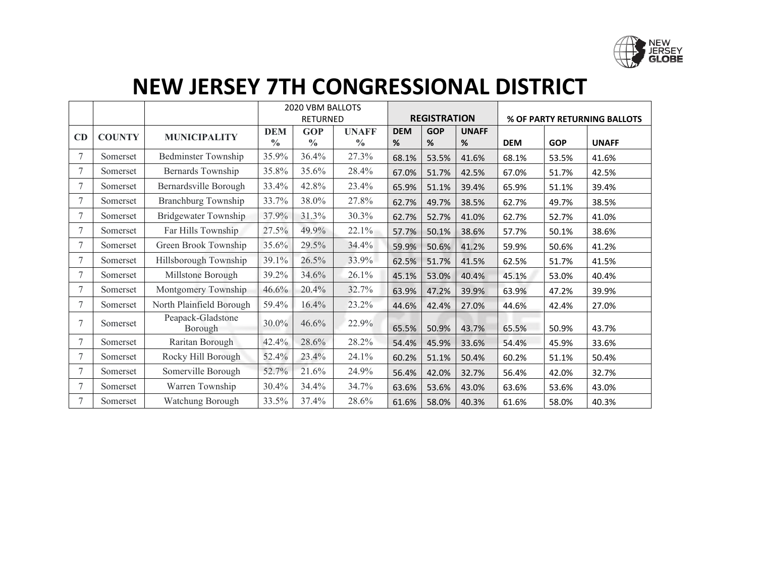

|                |                                            |                              | 2020 VBM BALLOTS |               |               |            |                     |       |            |                              |              |  |
|----------------|--------------------------------------------|------------------------------|------------------|---------------|---------------|------------|---------------------|-------|------------|------------------------------|--------------|--|
|                |                                            |                              | <b>RETURNED</b>  |               |               |            | <b>REGISTRATION</b> |       |            | % OF PARTY RETURNING BALLOTS |              |  |
|                | <b>COUNTY</b><br><b>MUNICIPALITY</b><br>CD | <b>DEM</b>                   | <b>GOP</b>       | <b>UNAFF</b>  | <b>DEM</b>    | <b>GOP</b> | <b>UNAFF</b>        |       |            |                              |              |  |
|                |                                            |                              | $\frac{0}{0}$    | $\frac{0}{0}$ | $\frac{0}{0}$ | %          | %                   | %     | <b>DEM</b> | <b>GOP</b>                   | <b>UNAFF</b> |  |
| $\overline{7}$ | Somerset                                   | <b>Bedminster Township</b>   | 35.9%            | 36.4%         | 27.3%         | 68.1%      | 53.5%               | 41.6% | 68.1%      | 53.5%                        | 41.6%        |  |
| 7              | Somerset                                   | Bernards Township            | 35.8%            | 35.6%         | 28.4%         | 67.0%      | 51.7%               | 42.5% | 67.0%      | 51.7%                        | 42.5%        |  |
| 7              | Somerset                                   | Bernardsville Borough        | 33.4%            | 42.8%         | 23.4%         | 65.9%      | 51.1%               | 39.4% | 65.9%      | 51.1%                        | 39.4%        |  |
| 7              | Somerset                                   | Branchburg Township          | 33.7%            | 38.0%         | 27.8%         | 62.7%      | 49.7%               | 38.5% | 62.7%      | 49.7%                        | 38.5%        |  |
| 7              | Somerset                                   | Bridgewater Township         | 37.9%            | 31.3%         | 30.3%         | 62.7%      | 52.7%               | 41.0% | 62.7%      | 52.7%                        | 41.0%        |  |
| 7              | Somerset                                   | Far Hills Township           | 27.5%            | 49.9%         | 22.1%         | 57.7%      | 50.1%               | 38.6% | 57.7%      | 50.1%                        | 38.6%        |  |
| 7              | Somerset                                   | Green Brook Township         | 35.6%            | 29.5%         | 34.4%         | 59.9%      | 50.6%               | 41.2% | 59.9%      | 50.6%                        | 41.2%        |  |
| 7              | Somerset                                   | Hillsborough Township        | 39.1%            | 26.5%         | 33.9%         | 62.5%      | 51.7%               | 41.5% | 62.5%      | 51.7%                        | 41.5%        |  |
| 7              | Somerset                                   | Millstone Borough            | 39.2%            | 34.6%         | 26.1%         | 45.1%      | 53.0%               | 40.4% | 45.1%      | 53.0%                        | 40.4%        |  |
| 7              | Somerset                                   | Montgomery Township          | 46.6%            | 20.4%         | 32.7%         | 63.9%      | 47.2%               | 39.9% | 63.9%      | 47.2%                        | 39.9%        |  |
| 7              | Somerset                                   | North Plainfield Borough     | 59.4%            | 16.4%         | 23.2%         | 44.6%      | 42.4%               | 27.0% | 44.6%      | 42.4%                        | 27.0%        |  |
| 7              | Somerset                                   | Peapack-Gladstone<br>Borough | 30.0%            | 46.6%         | 22.9%         | 65.5%      | 50.9%               | 43.7% | 65.5%      | 50.9%                        | 43.7%        |  |
| 7              | Somerset                                   | Raritan Borough              | 42.4%            | 28.6%         | 28.2%         | 54.4%      | 45.9%               | 33.6% | 54.4%      | 45.9%                        | 33.6%        |  |
| $\overline{7}$ | Somerset                                   | Rocky Hill Borough           | 52.4%            | 23.4%         | 24.1%         | 60.2%      | 51.1%               | 50.4% | 60.2%      | 51.1%                        | 50.4%        |  |
| 7              | Somerset                                   | Somerville Borough           | 52.7%            | 21.6%         | 24.9%         | 56.4%      | 42.0%               | 32.7% | 56.4%      | 42.0%                        | 32.7%        |  |
|                | Somerset                                   | Warren Township              | 30.4%            | 34.4%         | 34.7%         | 63.6%      | 53.6%               | 43.0% | 63.6%      | 53.6%                        | 43.0%        |  |
| 7              | Somerset                                   | Watchung Borough             | 33.5%            | 37.4%         | 28.6%         | 61.6%      | 58.0%               | 40.3% | 61.6%      | 58.0%                        | 40.3%        |  |